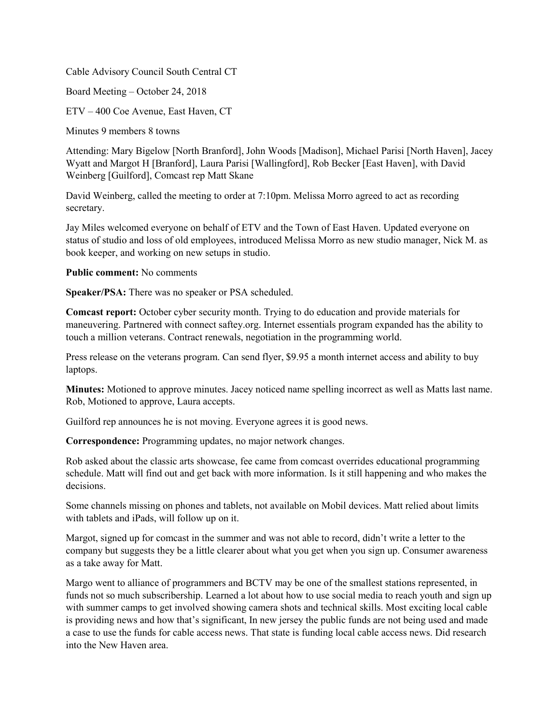Cable Advisory Council South Central CT

Board Meeting – October 24, 2018

ETV – 400 Coe Avenue, East Haven, CT

Minutes 9 members 8 towns

Attending: Mary Bigelow [North Branford], John Woods [Madison], Michael Parisi [North Haven], Jacey Wyatt and Margot H [Branford], Laura Parisi [Wallingford], Rob Becker [East Haven], with David Weinberg [Guilford], Comcast rep Matt Skane

David Weinberg, called the meeting to order at 7:10pm. Melissa Morro agreed to act as recording secretary.

Jay Miles welcomed everyone on behalf of ETV and the Town of East Haven. Updated everyone on status of studio and loss of old employees, introduced Melissa Morro as new studio manager, Nick M. as book keeper, and working on new setups in studio.

**Public comment:** No comments

**Speaker/PSA:** There was no speaker or PSA scheduled.

**Comcast report:** October cyber security month. Trying to do education and provide materials for maneuvering. Partnered with connect saftey.org. Internet essentials program expanded has the ability to touch a million veterans. Contract renewals, negotiation in the programming world.

Press release on the veterans program. Can send flyer, \$9.95 a month internet access and ability to buy laptops.

**Minutes:** Motioned to approve minutes. Jacey noticed name spelling incorrect as well as Matts last name. Rob, Motioned to approve, Laura accepts.

Guilford rep announces he is not moving. Everyone agrees it is good news.

**Correspondence:** Programming updates, no major network changes.

Rob asked about the classic arts showcase, fee came from comcast overrides educational programming schedule. Matt will find out and get back with more information. Is it still happening and who makes the decisions.

Some channels missing on phones and tablets, not available on Mobil devices. Matt relied about limits with tablets and iPads, will follow up on it.

Margot, signed up for comcast in the summer and was not able to record, didn't write a letter to the company but suggests they be a little clearer about what you get when you sign up. Consumer awareness as a take away for Matt.

Margo went to alliance of programmers and BCTV may be one of the smallest stations represented, in funds not so much subscribership. Learned a lot about how to use social media to reach youth and sign up with summer camps to get involved showing camera shots and technical skills. Most exciting local cable is providing news and how that's significant, In new jersey the public funds are not being used and made a case to use the funds for cable access news. That state is funding local cable access news. Did research into the New Haven area.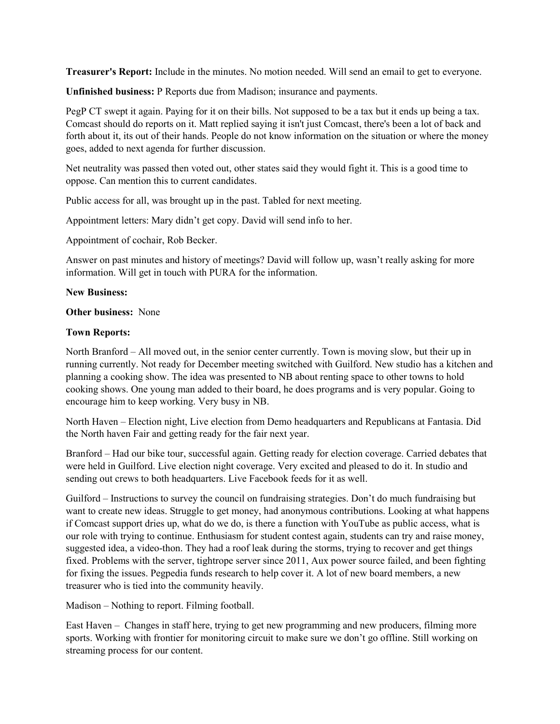**Treasurer's Report:** Include in the minutes. No motion needed. Will send an email to get to everyone.

**Unfinished business:** P Reports due from Madison; insurance and payments.

PegP CT swept it again. Paying for it on their bills. Not supposed to be a tax but it ends up being a tax. Comcast should do reports on it. Matt replied saying it isn't just Comcast, there's been a lot of back and forth about it, its out of their hands. People do not know information on the situation or where the money goes, added to next agenda for further discussion.

Net neutrality was passed then voted out, other states said they would fight it. This is a good time to oppose. Can mention this to current candidates.

Public access for all, was brought up in the past. Tabled for next meeting.

Appointment letters: Mary didn't get copy. David will send info to her.

Appointment of cochair, Rob Becker.

Answer on past minutes and history of meetings? David will follow up, wasn't really asking for more information. Will get in touch with PURA for the information.

## **New Business:**

## **Other business:** None

## **Town Reports:**

North Branford – All moved out, in the senior center currently. Town is moving slow, but their up in running currently. Not ready for December meeting switched with Guilford. New studio has a kitchen and planning a cooking show. The idea was presented to NB about renting space to other towns to hold cooking shows. One young man added to their board, he does programs and is very popular. Going to encourage him to keep working. Very busy in NB.

North Haven – Election night, Live election from Demo headquarters and Republicans at Fantasia. Did the North haven Fair and getting ready for the fair next year.

Branford – Had our bike tour, successful again. Getting ready for election coverage. Carried debates that were held in Guilford. Live election night coverage. Very excited and pleased to do it. In studio and sending out crews to both headquarters. Live Facebook feeds for it as well.

Guilford – Instructions to survey the council on fundraising strategies. Don't do much fundraising but want to create new ideas. Struggle to get money, had anonymous contributions. Looking at what happens if Comcast support dries up, what do we do, is there a function with YouTube as public access, what is our role with trying to continue. Enthusiasm for student contest again, students can try and raise money, suggested idea, a video-thon. They had a roof leak during the storms, trying to recover and get things fixed. Problems with the server, tightrope server since 2011, Aux power source failed, and been fighting for fixing the issues. Pegpedia funds research to help cover it. A lot of new board members, a new treasurer who is tied into the community heavily.

Madison – Nothing to report. Filming football.

East Haven – Changes in staff here, trying to get new programming and new producers, filming more sports. Working with frontier for monitoring circuit to make sure we don't go offline. Still working on streaming process for our content.